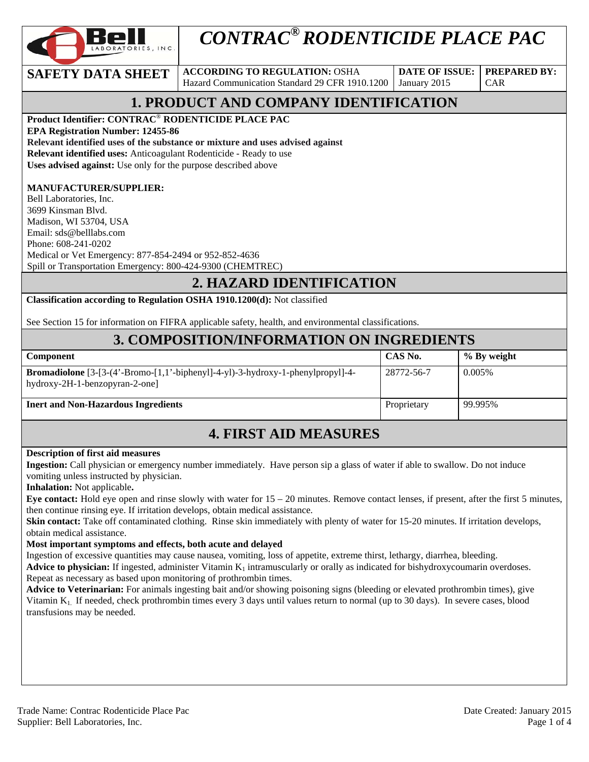

# *CONTRAC® RODENTICIDE PLACE PAC*

**SAFETY DATA SHEET** ACCORDING TO REGULATION: OSHA Hazard Communication Standard 29 CFR 1910.1200

**DATE OF ISSUE:**  January 2015

CAR

**PREPARED BY:** 

# **1. PRODUCT AND COMPANY IDENTIFICATION**

**Product Identifier: CONTRAC**® **RODENTICIDE PLACE PAC** 

**EPA Registration Number: 12455-86** 

**Relevant identified uses of the substance or mixture and uses advised against**

**Relevant identified uses:** Anticoagulant Rodenticide - Ready to use

**Uses advised against:** Use only for the purpose described above

#### **MANUFACTURER/SUPPLIER:**

Bell Laboratories, Inc. 3699 Kinsman Blvd. Madison, WI 53704, USA Email: sds@belllabs.com Phone: 608-241-0202 Medical or Vet Emergency: 877-854-2494 or 952-852-4636 Spill or Transportation Emergency: 800-424-9300 (CHEMTREC)

### **2. HAZARD IDENTIFICATION**

**Classification according to Regulation OSHA 1910.1200(d):** Not classified

See Section 15 for information on FIFRA applicable safety, health, and environmental classifications.

### **3. COMPOSITION/INFORMATION ON INGREDIENTS**

| <b>Component</b>                                                                                                                        | CAS No.     | % By weight |
|-----------------------------------------------------------------------------------------------------------------------------------------|-------------|-------------|
| <b>Bromadiolone</b> $[3-(4)$ -Bromo- $[1,1)$ -biphenyl $]-4$ -yl $]-3$ -hydroxy-1-phenylpropyl $]-4-$<br>hydroxy-2H-1-benzopyran-2-one] | 28772-56-7  | $0.005\%$   |
| <b>Inert and Non-Hazardous Ingredients</b>                                                                                              | Proprietary | l 99.995%   |

### **4. FIRST AID MEASURES**

#### **Description of first aid measures**

**Ingestion:** Call physician or emergency number immediately. Have person sip a glass of water if able to swallow. Do not induce vomiting unless instructed by physician.

**Inhalation:** Not applicable**.** 

**Eye contact:** Hold eye open and rinse slowly with water for 15 – 20 minutes. Remove contact lenses, if present, after the first 5 minutes, then continue rinsing eye. If irritation develops, obtain medical assistance.

**Skin contact:** Take off contaminated clothing. Rinse skin immediately with plenty of water for 15-20 minutes. If irritation develops, obtain medical assistance.

#### **Most important symptoms and effects, both acute and delayed**

Ingestion of excessive quantities may cause nausea, vomiting, loss of appetite, extreme thirst, lethargy, diarrhea, bleeding.

**Advice to physician:** If ingested, administer Vitamin  $K_1$  intramuscularly or orally as indicated for bishydroxycoumarin overdoses. Repeat as necessary as based upon monitoring of prothrombin times.

**Advice to Veterinarian:** For animals ingesting bait and/or showing poisoning signs (bleeding or elevated prothrombin times), give Vitamin  $K_1$ . If needed, check prothrombin times every 3 days until values return to normal (up to 30 days). In severe cases, blood transfusions may be needed.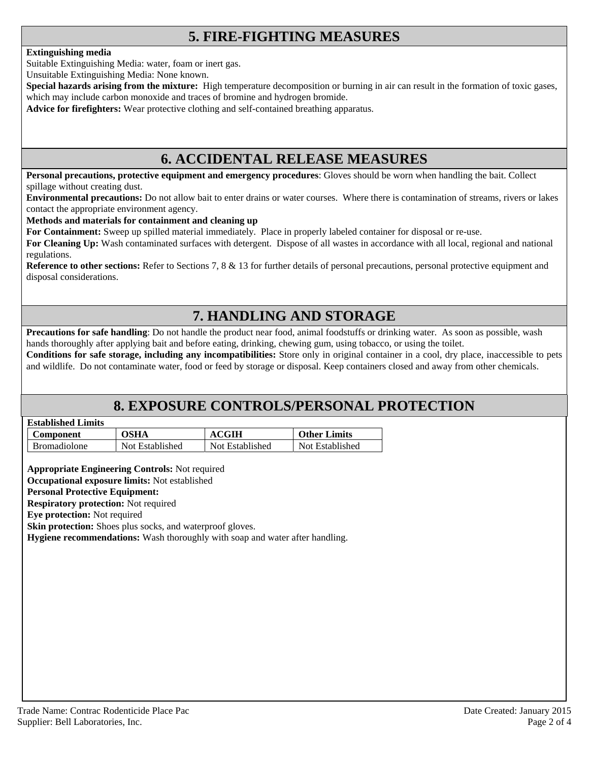# **5. FIRE-FIGHTING MEASURES**

#### **Extinguishing media**

Suitable Extinguishing Media: water, foam or inert gas.

Unsuitable Extinguishing Media: None known.

**Special hazards arising from the mixture:** High temperature decomposition or burning in air can result in the formation of toxic gases, which may include carbon monoxide and traces of bromine and hydrogen bromide.

**Advice for firefighters:** Wear protective clothing and self-contained breathing apparatus.

### **6. ACCIDENTAL RELEASE MEASURES**

**Personal precautions, protective equipment and emergency procedures**: Gloves should be worn when handling the bait. Collect spillage without creating dust.

**Environmental precautions:** Do not allow bait to enter drains or water courses. Where there is contamination of streams, rivers or lakes contact the appropriate environment agency.

#### **Methods and materials for containment and cleaning up**

**For Containment:** Sweep up spilled material immediately. Place in properly labeled container for disposal or re-use.

**For Cleaning Up:** Wash contaminated surfaces with detergent. Dispose of all wastes in accordance with all local, regional and national regulations.

**Reference to other sections:** Refer to Sections 7, 8 & 13 for further details of personal precautions, personal protective equipment and disposal considerations.

### **7. HANDLING AND STORAGE**

**Precautions for safe handling**: Do not handle the product near food, animal foodstuffs or drinking water. As soon as possible, wash hands thoroughly after applying bait and before eating, drinking, chewing gum, using tobacco, or using the toilet.

**Conditions for safe storage, including any incompatibilities:** Store only in original container in a cool, dry place, inaccessible to pets and wildlife. Do not contaminate water, food or feed by storage or disposal. Keep containers closed and away from other chemicals.

### **8. EXPOSURE CONTROLS/PERSONAL PROTECTION**

| <b>Established Limits</b> |  |
|---------------------------|--|
|                           |  |

| <b>Component</b>    | OSHA            | <b>ACGIH</b>    | <b>Other Limits</b> |
|---------------------|-----------------|-----------------|---------------------|
| <b>Bromadiolone</b> | Not Established | Not Established | Not Established     |

**Appropriate Engineering Controls:** Not required

**Occupational exposure limits:** Not established

#### **Personal Protective Equipment:**

**Respiratory protection:** Not required

**Eye protection:** Not required

**Skin protection:** Shoes plus socks, and waterproof gloves.

**Hygiene recommendations:** Wash thoroughly with soap and water after handling.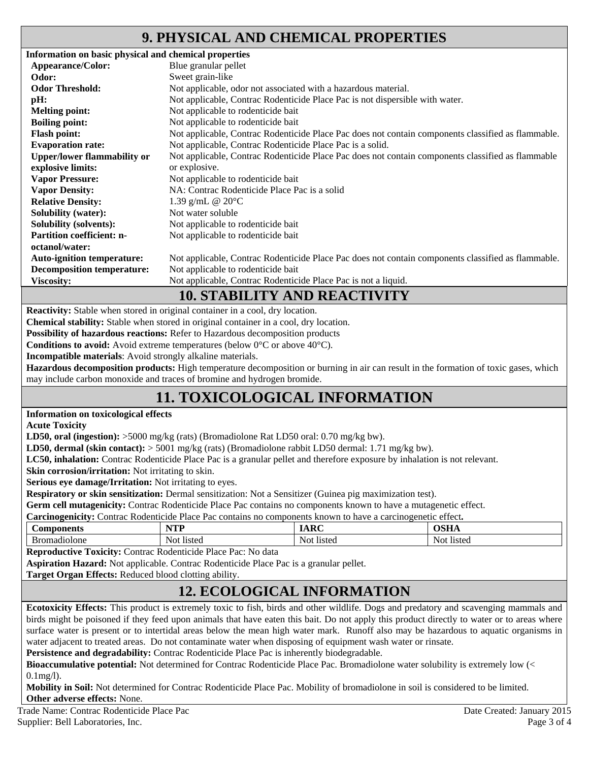### **9. PHYSICAL AND CHEMICAL PROPERTIES**

| Information on basic physical and chemical properties |                                                                                                    |
|-------------------------------------------------------|----------------------------------------------------------------------------------------------------|
| Appearance/Color:                                     | Blue granular pellet                                                                               |
| Odor:                                                 | Sweet grain-like                                                                                   |
| <b>Odor Threshold:</b>                                | Not applicable, odor not associated with a hazardous material.                                     |
| pH:                                                   | Not applicable, Contrac Rodenticide Place Pac is not dispersible with water.                       |
| <b>Melting point:</b>                                 | Not applicable to rodenticide bait                                                                 |
| <b>Boiling point:</b>                                 | Not applicable to rodenticide bait                                                                 |
| <b>Flash point:</b>                                   | Not applicable, Contrac Rodenticide Place Pac does not contain components classified as flammable. |
| <b>Evaporation rate:</b>                              | Not applicable, Contrac Rodenticide Place Pac is a solid.                                          |
| <b>Upper/lower flammability or</b>                    | Not applicable, Contrac Rodenticide Place Pac does not contain components classified as flammable  |
| explosive limits:                                     | or explosive.                                                                                      |
| <b>Vapor Pressure:</b>                                | Not applicable to rodenticide bait                                                                 |
| <b>Vapor Density:</b>                                 | NA: Contrac Rodenticide Place Pac is a solid                                                       |
| <b>Relative Density:</b>                              | 1.39 g/mL @ $20^{\circ}$ C                                                                         |
| <b>Solubility (water):</b>                            | Not water soluble                                                                                  |
| <b>Solubility (solvents):</b>                         | Not applicable to rodenticide bait                                                                 |
| <b>Partition coefficient: n-</b>                      | Not applicable to rodenticide bait                                                                 |
| octanol/water:                                        |                                                                                                    |
| <b>Auto-ignition temperature:</b>                     | Not applicable, Contrac Rodenticide Place Pac does not contain components classified as flammable. |
| <b>Decomposition temperature:</b>                     | Not applicable to rodenticide bait                                                                 |
| <b>Viscosity:</b>                                     | Not applicable, Contrac Rodenticide Place Pac is not a liquid.                                     |
|                                                       |                                                                                                    |

### **10. STABILITY AND REACTIVITY**

**Reactivity:** Stable when stored in original container in a cool, dry location.

**Chemical stability:** Stable when stored in original container in a cool, dry location.

**Possibility of hazardous reactions:** Refer to Hazardous decomposition products

**Conditions to avoid:** Avoid extreme temperatures (below 0°C or above 40°C).

**Incompatible materials**: Avoid strongly alkaline materials.

**Hazardous decomposition products:** High temperature decomposition or burning in air can result in the formation of toxic gases, which may include carbon monoxide and traces of bromine and hydrogen bromide.

# **11. TOXICOLOGICAL INFORMATION**

#### **Information on toxicological effects**

**Acute Toxicity** 

**LD50, oral (ingestion):** >5000 mg/kg (rats) (Bromadiolone Rat LD50 oral: 0.70 mg/kg bw).

**LD50, dermal (skin contact):** > 5001 mg/kg (rats) (Bromadiolone rabbit LD50 dermal: 1.71 mg/kg bw).

**LC50, inhalation:** Contrac Rodenticide Place Pac is a granular pellet and therefore exposure by inhalation is not relevant.

**Skin corrosion/irritation:** Not irritating to skin.

**Serious eye damage/Irritation:** Not irritating to eyes.

**Respiratory or skin sensitization:** Dermal sensitization: Not a Sensitizer (Guinea pig maximization test).

**Germ cell mutagenicity:** Contrac Rodenticide Place Pac contains no components known to have a mutagenetic effect.

**Carcinogenicity:** Contrac Rodenticide Place Pac contains no components known to have a carcinogenetic effect**.** 

| -<br>$\sim$ $\sim$ $\sim$ $\sim$<br>∶∩r | wm<br>.      | $\sim$ $\sim$                        | $\sim$ $\sim$ $\sim$ |
|-----------------------------------------|--------------|--------------------------------------|----------------------|
| .<br>∩ne<br>-                           | Not.<br>I101 | $11C^+$<br>N <sup>2</sup><br>-<br>ч. | l 1 e f.a<br>15W     |

**Reproductive Toxicity:** Contrac Rodenticide Place Pac: No data

**Aspiration Hazard:** Not applicable. Contrac Rodenticide Place Pac is a granular pellet.

**Target Organ Effects:** Reduced blood clotting ability.

# **12. ECOLOGICAL INFORMATION**

**Ecotoxicity Effects:** This product is extremely toxic to fish, birds and other wildlife. Dogs and predatory and scavenging mammals and birds might be poisoned if they feed upon animals that have eaten this bait. Do not apply this product directly to water or to areas where surface water is present or to intertidal areas below the mean high water mark. Runoff also may be hazardous to aquatic organisms in water adjacent to treated areas. Do not contaminate water when disposing of equipment wash water or rinsate.

**Persistence and degradability:** Contrac Rodenticide Place Pac is inherently biodegradable.

**Bioaccumulative potential:** Not determined for Contrac Rodenticide Place Pac. Bromadiolone water solubility is extremely low (< 0.1mg/l).

**Mobility in Soil:** Not determined for Contrac Rodenticide Place Pac. Mobility of bromadiolone in soil is considered to be limited. **Other adverse effects:** None.

Trade Name: Contrac Rodenticide Place Pac Date Created: January 2015 Supplier: Bell Laboratories, Inc. 2008 and 2008 and 2008 and 2008 and 2008 and 2008 and 2008 and 2008 and 2008 and 2008 and 2008 and 2008 and 2008 and 2008 and 2008 and 2008 and 2008 and 2008 and 2008 and 2008 and 2008 and